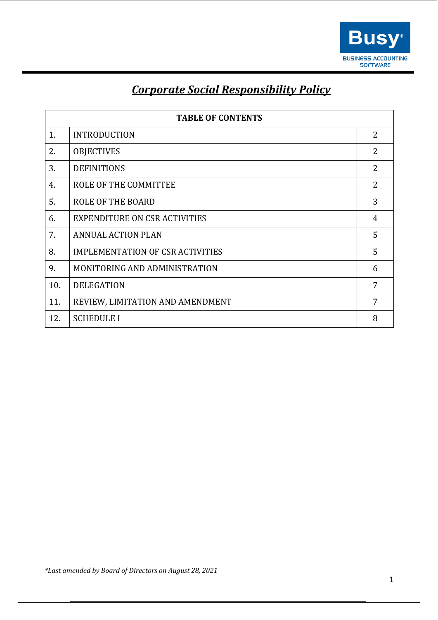

# *Corporate Social Responsibility Policy*

| <b>TABLE OF CONTENTS</b> |                                         |                |
|--------------------------|-----------------------------------------|----------------|
| 1.                       | <b>INTRODUCTION</b>                     | $\overline{2}$ |
| 2.                       | <b>OBJECTIVES</b>                       | 2              |
| 3.                       | <b>DEFINITIONS</b>                      | 2              |
| 4.                       | ROLE OF THE COMMITTEE                   | 2              |
| 5.                       | <b>ROLE OF THE BOARD</b>                | 3              |
| 6.                       | EXPENDITURE ON CSR ACTIVITIES           | 4              |
| 7.                       | <b>ANNUAL ACTION PLAN</b>               | 5              |
| 8.                       | <b>IMPLEMENTATION OF CSR ACTIVITIES</b> | 5              |
| 9.                       | MONITORING AND ADMINISTRATION           | 6              |
| 10.                      | <b>DELEGATION</b>                       | 7              |
| 11.                      | REVIEW, LIMITATION AND AMENDMENT        | 7              |
| 12.                      | <b>SCHEDULE I</b>                       | 8              |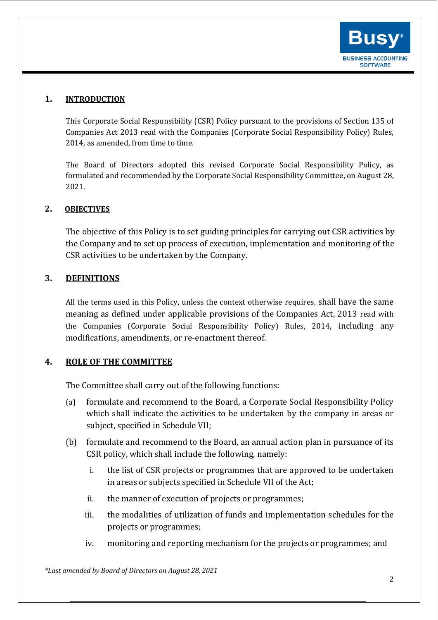

# **1. INTRODUCTION**

This Corporate Social Responsibility (CSR) Policy pursuant to the provisions of Section 135 of Companies Act 2013 read with the Companies (Corporate Social Responsibility Policy) Rules, 2014, as amended, from time to time.

The Board of Directors adopted this revised Corporate Social Responsibility Policy, as formulated and recommended by the Corporate Social Responsibility Committee, on August 28, 2021.

# **2. OBJECTIVES**

The objective of this Policy is to set guiding principles for carrying out CSR activities by the Company and to set up process of execution, implementation and monitoring of the CSR activities to be undertaken by the Company.

# **3. DEFINITIONS**

All the terms used in this Policy, unless the context otherwise requires, shall have the same meaning as defined under applicable provisions of the Companies Act, 2013 read with the Companies (Corporate Social Responsibility Policy) Rules, 2014, including any modifications, amendments, or re-enactment thereof.

#### **4. ROLE OF THE COMMITTEE**

The Committee shall carry out of the following functions:

- (a) formulate and recommend to the Board, a Corporate Social Responsibility Policy which shall indicate the activities to be undertaken by the company in areas or subject, specified in Schedule VII;
- (b) formulate and recommend to the Board, an annual action plan in pursuance of its CSR policy, which shall include the following, namely:
	- i. the list of CSR projects or programmes that are approved to be undertaken in areas or subjects specified in Schedule VII of the Act;
	- ii. the manner of execution of projects or programmes;
	- iii. the modalities of utilization of funds and implementation schedules for the projects or programmes;
	- iv. monitoring and reporting mechanism for the projects or programmes; and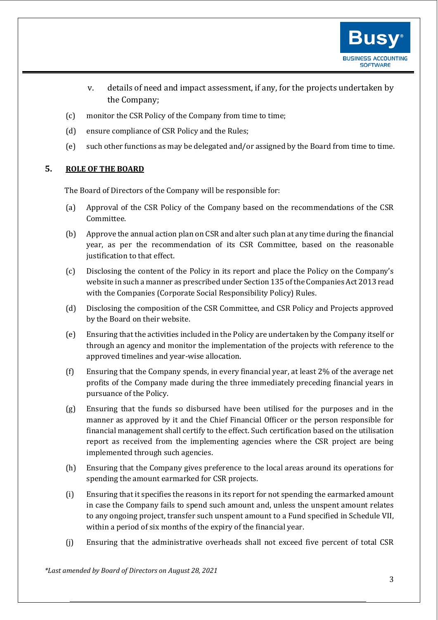

- v. details of need and impact assessment, if any, for the projects undertaken by the Company;
- (c) monitor the CSR Policy of the Company from time to time;
- (d) ensure compliance of CSR Policy and the Rules;
- (e) such other functions as may be delegated and/or assigned by the Board from time to time.

# **5. ROLE OF THE BOARD**

The Board of Directors of the Company will be responsible for:

- (a) Approval of the CSR Policy of the Company based on the recommendations of the CSR Committee.
- (b) Approve the annual action plan on CSR and alter such plan at any time during the financial year, as per the recommendation of its CSR Committee, based on the reasonable justification to that effect.
- (c) Disclosing the content of the Policy in its report and place the Policy on the Company's website in such a manner as prescribed under Section 135 of the Companies Act 2013 read with the Companies (Corporate Social Responsibility Policy) Rules.
- (d) Disclosing the composition of the CSR Committee, and CSR Policy and Projects approved by the Board on their website.
- (e) Ensuring that the activities included in the Policy are undertaken by the Company itself or through an agency and monitor the implementation of the projects with reference to the approved timelines and year-wise allocation.
- (f) Ensuring that the Company spends, in every financial year, at least 2% of the average net profits of the Company made during the three immediately preceding financial years in pursuance of the Policy.
- (g) Ensuring that the funds so disbursed have been utilised for the purposes and in the manner as approved by it and the Chief Financial Officer or the person responsible for financial management shall certify to the effect. Such certification based on the utilisation report as received from the implementing agencies where the CSR project are being implemented through such agencies.
- (h) Ensuring that the Company gives preference to the local areas around its operations for spending the amount earmarked for CSR projects.
- (i) Ensuring that it specifies the reasons in its report for not spending the earmarked amount in case the Company fails to spend such amount and, unless the unspent amount relates to any ongoing project, transfer such unspent amount to a Fund specified in Schedule VII, within a period of six months of the expiry of the financial year.
- (j) Ensuring that the administrative overheads shall not exceed five percent of total CSR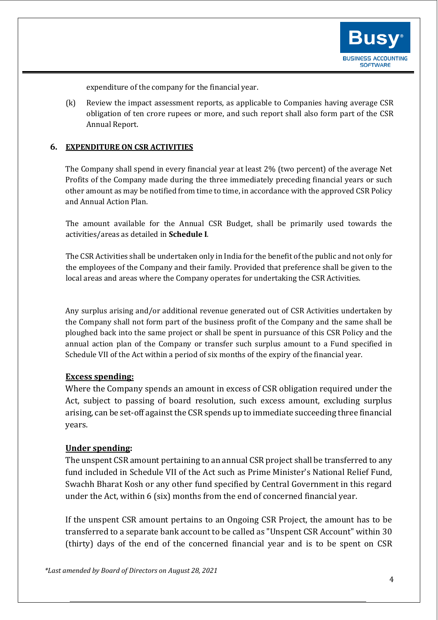

expenditure of the company for the financial year.

(k) Review the impact assessment reports, as applicable to Companies having average CSR obligation of ten crore rupees or more, and such report shall also form part of the CSR Annual Report.

#### **6. EXPENDITURE ON CSR ACTIVITIES**

The Company shall spend in every financial year at least 2% (two percent) of the average Net Profits of the Company made during the three immediately preceding financial years or such other amount as may be notified from time to time, in accordance with the approved CSR Policy and Annual Action Plan.

The amount available for the Annual CSR Budget, shall be primarily used towards the activities/areas as detailed in **Schedule I**.

The CSR Activities shall be undertaken only in India for the benefit of the public and not only for the employees of the Company and their family. Provided that preference shall be given to the local areas and areas where the Company operates for undertaking the CSR Activities.

Any surplus arising and/or additional revenue generated out of CSR Activities undertaken by the Company shall not form part of the business profit of the Company and the same shall be ploughed back into the same project or shall be spent in pursuance of this CSR Policy and the annual action plan of the Company or transfer such surplus amount to a Fund specified in Schedule VII of the Act within a period of six months of the expiry of the financial year.

#### **Excess spending:**

Where the Company spends an amount in excess of CSR obligation required under the Act, subject to passing of board resolution, such excess amount, excluding surplus arising, can be set-off against the CSR spends up to immediate succeeding three financial years.

# **Under spending:**

The unspent CSR amount pertaining to an annual CSR project shall be transferred to any fund included in Schedule VII of the Act such as Prime Minister's National Relief Fund, Swachh Bharat Kosh or any other fund specified by Central Government in this regard under the Act, within 6 (six) months from the end of concerned financial year.

If the unspent CSR amount pertains to an Ongoing CSR Project, the amount has to be transferred to a separate bank account to be called as "Unspent CSR Account" within 30 (thirty) days of the end of the concerned financial year and is to be spent on CSR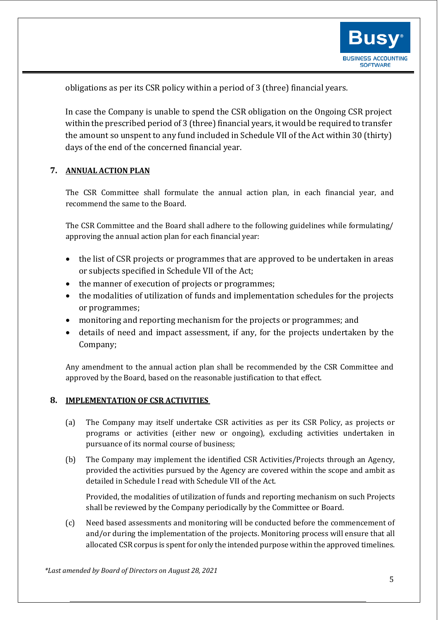

obligations as per its CSR policy within a period of 3 (three) financial years.

In case the Company is unable to spend the CSR obligation on the Ongoing CSR project within the prescribed period of 3 (three) financial years, it would be required to transfer the amount so unspent to any fund included in Schedule VII of the Act within 30 (thirty) days of the end of the concerned financial year.

# **7. ANNUAL ACTION PLAN**

The CSR Committee shall formulate the annual action plan, in each financial year, and recommend the same to the Board.

The CSR Committee and the Board shall adhere to the following guidelines while formulating/ approving the annual action plan for each financial year:

- the list of CSR projects or programmes that are approved to be undertaken in areas or subjects specified in Schedule VII of the Act;
- the manner of execution of projects or programmes;
- the modalities of utilization of funds and implementation schedules for the projects or programmes;
- monitoring and reporting mechanism for the projects or programmes; and
- details of need and impact assessment, if any, for the projects undertaken by the Company;

Any amendment to the annual action plan shall be recommended by the CSR Committee and approved by the Board, based on the reasonable justification to that effect.

# **8. IMPLEMENTATION OF CSR ACTIVITIES**

- (a) The Company may itself undertake CSR activities as per its CSR Policy, as projects or programs or activities (either new or ongoing), excluding activities undertaken in pursuance of its normal course of business;
- (b) The Company may implement the identified CSR Activities/Projects through an Agency, provided the activities pursued by the Agency are covered within the scope and ambit as detailed in Schedule I read with Schedule VII of the Act.

Provided, the modalities of utilization of funds and reporting mechanism on such Projects shall be reviewed by the Company periodically by the Committee or Board.

(c) Need based assessments and monitoring will be conducted before the commencement of and/or during the implementation of the projects. Monitoring process will ensure that all allocated CSR corpus is spent for only the intended purpose within the approved timelines.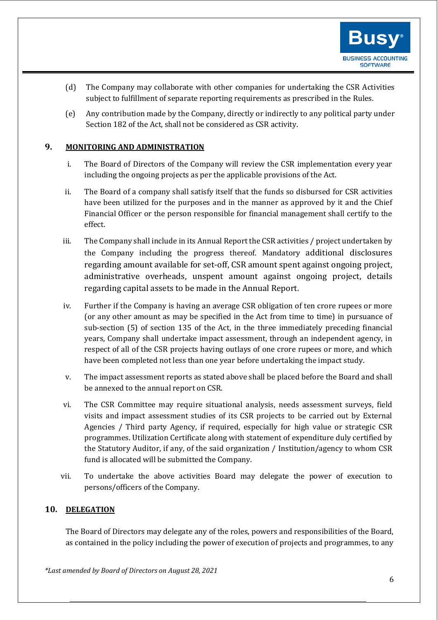

- (d) The Company may collaborate with other companies for undertaking the CSR Activities subject to fulfillment of separate reporting requirements as prescribed in the Rules.
- (e) Any contribution made by the Company, directly or indirectly to any political party under Section 182 of the Act, shall not be considered as CSR activity.

# **9. MONITORING AND ADMINISTRATION**

- i. The Board of Directors of the Company will review the CSR implementation every year including the ongoing projects as per the applicable provisions of the Act.
- ii. The Board of a company shall satisfy itself that the funds so disbursed for CSR activities have been utilized for the purposes and in the manner as approved by it and the Chief Financial Officer or the person responsible for financial management shall certify to the effect.
- iii. The Company shall include in its Annual Report the CSR activities / project undertaken by the Company including the progress thereof. Mandatory additional disclosures regarding amount available for set-off, CSR amount spent against ongoing project, administrative overheads, unspent amount against ongoing project, details regarding capital assets to be made in the Annual Report.
- iv. Further if the Company is having an average CSR obligation of ten crore rupees or more (or any other amount as may be specified in the Act from time to time) in pursuance of sub-section (5) of section 135 of the Act, in the three immediately preceding financial years, Company shall undertake impact assessment, through an independent agency, in respect of all of the CSR projects having outlays of one crore rupees or more, and which have been completed not less than one year before undertaking the impact study.
- v. The impact assessment reports as stated above shall be placed before the Board and shall be annexed to the annual report on CSR.
- vi. The CSR Committee may require situational analysis, needs assessment surveys, field visits and impact assessment studies of its CSR projects to be carried out by External Agencies / Third party Agency, if required, especially for high value or strategic CSR programmes. Utilization Certificate along with statement of expenditure duly certified by the Statutory Auditor, if any, of the said organization / Institution/agency to whom CSR fund is allocated will be submitted the Company.
- vii. To undertake the above activities Board may delegate the power of execution to persons/officers of the Company.

# **10. DELEGATION**

The Board of Directors may delegate any of the roles, powers and responsibilities of the Board, as contained in the policy including the power of execution of projects and programmes, to any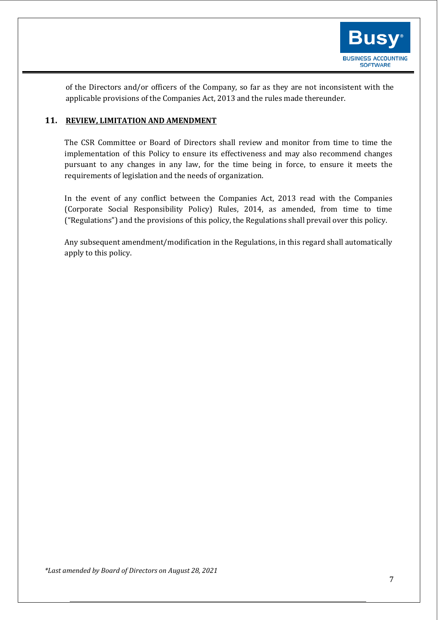

of the Directors and/or officers of the Company, so far as they are not inconsistent with the applicable provisions of the Companies Act, 2013 and the rules made thereunder.

# **11. REVIEW, LIMITATION AND AMENDMENT**

The CSR Committee or Board of Directors shall review and monitor from time to time the implementation of this Policy to ensure its effectiveness and may also recommend changes pursuant to any changes in any law, for the time being in force, to ensure it meets the requirements of legislation and the needs of organization.

In the event of any conflict between the Companies Act, 2013 read with the Companies (Corporate Social Responsibility Policy) Rules, 2014, as amended, from time to time ("Regulations") and the provisions of this policy, the Regulations shall prevail over this policy.

Any subsequent amendment/modification in the Regulations, in this regard shall automatically apply to this policy.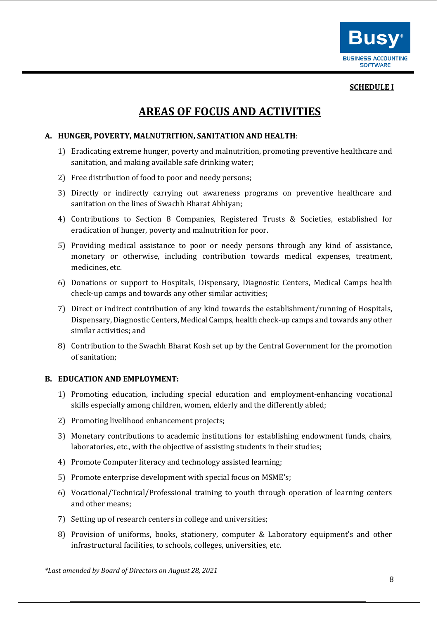

#### **SCHEDULE I**

# **AREAS OF FOCUS AND ACTIVITIES**

#### **A. HUNGER, POVERTY, MALNUTRITION, SANITATION AND HEALTH**:

- 1) Eradicating extreme hunger, poverty and malnutrition, promoting preventive healthcare and sanitation, and making available safe drinking water;
- 2) Free distribution of food to poor and needy persons;
- 3) Directly or indirectly carrying out awareness programs on preventive healthcare and sanitation on the lines of Swachh Bharat Abhiyan;
- 4) Contributions to Section 8 Companies, Registered Trusts & Societies, established for eradication of hunger, poverty and malnutrition for poor.
- 5) Providing medical assistance to poor or needy persons through any kind of assistance, monetary or otherwise, including contribution towards medical expenses, treatment, medicines, etc.
- 6) Donations or support to Hospitals, Dispensary, Diagnostic Centers, Medical Camps health check-up camps and towards any other similar activities;
- 7) Direct or indirect contribution of any kind towards the establishment/running of Hospitals, Dispensary, Diagnostic Centers, Medical Camps, health check-up camps and towards any other similar activities; and
- 8) Contribution to the Swachh Bharat Kosh set up by the Central Government for the promotion of sanitation;

#### **B. EDUCATION AND EMPLOYMENT:**

- 1) Promoting education, including special education and employment-enhancing vocational skills especially among children, women, elderly and the differently abled;
- 2) Promoting livelihood enhancement projects;
- 3) Monetary contributions to academic institutions for establishing endowment funds, chairs, laboratories, etc., with the objective of assisting students in their studies;
- 4) Promote Computer literacy and technology assisted learning;
- 5) Promote enterprise development with special focus on MSME's;
- 6) Vocational/Technical/Professional training to youth through operation of learning centers and other means;
- 7) Setting up of research centers in college and universities;
- 8) Provision of uniforms, books, stationery, computer & Laboratory equipment's and other infrastructural facilities, to schools, colleges, universities, etc.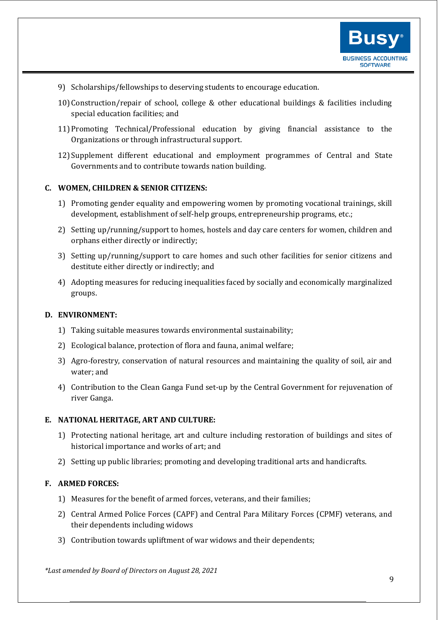

- 9) Scholarships/fellowships to deserving students to encourage education.
- 10)Construction/repair of school, college & other educational buildings & facilities including special education facilities; and
- 11)Promoting Technical/Professional education by giving financial assistance to the Organizations or through infrastructural support.
- 12) Supplement different educational and employment programmes of Central and State Governments and to contribute towards nation building.

#### **C. WOMEN, CHILDREN & SENIOR CITIZENS:**

- 1) Promoting gender equality and empowering women by promoting vocational trainings, skill development, establishment of self-help groups, entrepreneurship programs, etc.;
- 2) Setting up/running/support to homes, hostels and day care centers for women, children and orphans either directly or indirectly;
- 3) Setting up/running/support to care homes and such other facilities for senior citizens and destitute either directly or indirectly; and
- 4) Adopting measures for reducing inequalities faced by socially and economically marginalized groups.

#### **D. ENVIRONMENT:**

- 1) Taking suitable measures towards environmental sustainability;
- 2) Ecological balance, protection of flora and fauna, animal welfare;
- 3) Agro-forestry, conservation of natural resources and maintaining the quality of soil, air and water; and
- 4) Contribution to the Clean Ganga Fund set-up by the Central Government for rejuvenation of river Ganga.

#### **E. NATIONAL HERITAGE, ART AND CULTURE:**

- 1) Protecting national heritage, art and culture including restoration of buildings and sites of historical importance and works of art; and
- 2) Setting up public libraries; promoting and developing traditional arts and handicrafts.

#### **F. ARMED FORCES:**

- 1) Measures for the benefit of armed forces, veterans, and their families;
- 2) Central Armed Police Forces (CAPF) and Central Para Military Forces (CPMF) veterans, and their dependents including widows
- 3) Contribution towards upliftment of war widows and their dependents;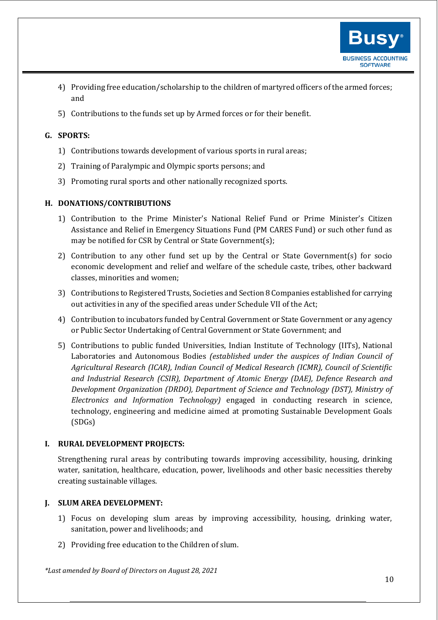

- 4) Providing free education/scholarship to the children of martyred officers of the armed forces; and
- 5) Contributions to the funds set up by Armed forces or for their benefit.

# **G. SPORTS:**

- 1) Contributions towards development of various sports in rural areas;
- 2) Training of Paralympic and Olympic sports persons; and
- 3) Promoting rural sports and other nationally recognized sports.

# **H. DONATIONS/CONTRIBUTIONS**

- 1) Contribution to the Prime Minister's National Relief Fund or Prime Minister's Citizen Assistance and Relief in Emergency Situations Fund (PM CARES Fund) or such other fund as may be notified for CSR by Central or State Government(s);
- 2) Contribution to any other fund set up by the Central or State Government(s) for socio economic development and relief and welfare of the schedule caste, tribes, other backward classes, minorities and women;
- 3) Contributions to Registered Trusts, Societies and Section 8 Companies established for carrying out activities in any of the specified areas under Schedule VII of the Act;
- 4) Contribution to incubators funded by Central Government or State Government or any agency or Public Sector Undertaking of Central Government or State Government; and
- 5) Contributions to public funded Universities, Indian Institute of Technology (IITs), National Laboratories and Autonomous Bodies *(established under the auspices of Indian Council of Agricultural Research (ICAR), Indian Council of Medical Research (ICMR), Council of Scientific and Industrial Research (CSIR), Department of Atomic Energy (DAE), Defence Research and Development Organization (DRDO), Department of Science and Technology (DST), Ministry of Electronics and Information Technology)* engaged in conducting research in science, technology, engineering and medicine aimed at promoting Sustainable Development Goals (SDGs)

# **I. RURAL DEVELOPMENT PROJECTS:**

Strengthening rural areas by contributing towards improving accessibility, housing, drinking water, sanitation, healthcare, education, power, livelihoods and other basic necessities thereby creating sustainable villages.

# **J. SLUM AREA DEVELOPMENT:**

- 1) Focus on developing slum areas by improving accessibility, housing, drinking water, sanitation, power and livelihoods; and
- 2) Providing free education to the Children of slum.